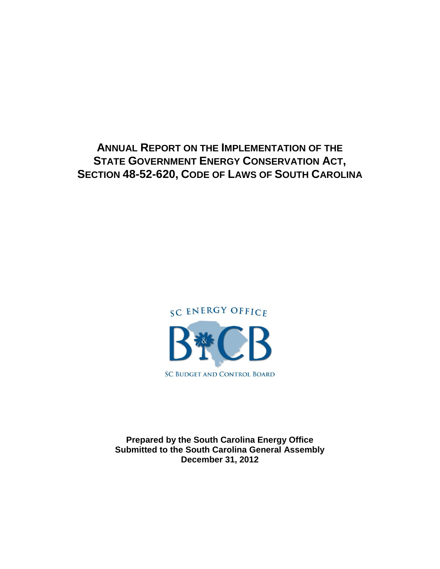**ANNUAL REPORT ON THE IMPLEMENTATION OF THE STATE GOVERNMENT ENERGY CONSERVATION ACT, SECTION 48-52-620, CODE OF LAWS OF SOUTH CAROLINA**



**Prepared by the South Carolina Energy Office Submitted to the South Carolina General Assembly December 31, 2012**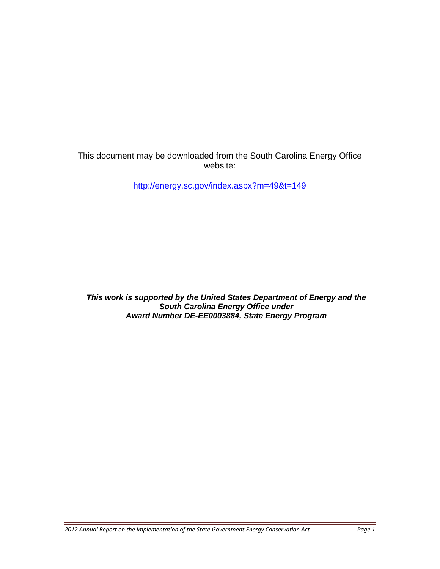This document may be downloaded from the South Carolina Energy Office website:

[http://energy.sc.gov/index.aspx?m=49&t=149](https://energy.sc.gov/index.aspx?m=49&t=149)

*This work is supported by the United States Department of Energy and the South Carolina Energy Office under Award Number DE-EE0003884, State Energy Program*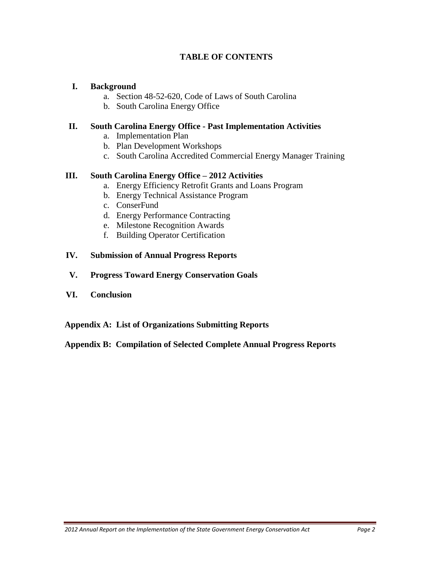## **TABLE OF CONTENTS**

#### **I. Background**

- a. Section 48-52-620, Code of Laws of South Carolina
- b. South Carolina Energy Office

#### **II. South Carolina Energy Office - Past Implementation Activities**

- a. Implementation Plan
- b. Plan Development Workshops
- c. South Carolina Accredited Commercial Energy Manager Training

## **III. South Carolina Energy Office – 2012 Activities**

- a. Energy Efficiency Retrofit Grants and Loans Program
- b. Energy Technical Assistance Program
- c. ConserFund
- d. Energy Performance Contracting
- e. Milestone Recognition Awards
- f. Building Operator Certification

#### **IV. Submission of Annual Progress Reports**

- **V. Progress Toward Energy Conservation Goals**
- **VI. Conclusion**

#### **Appendix A: List of Organizations Submitting Reports**

**Appendix B: Compilation of Selected Complete Annual Progress Reports**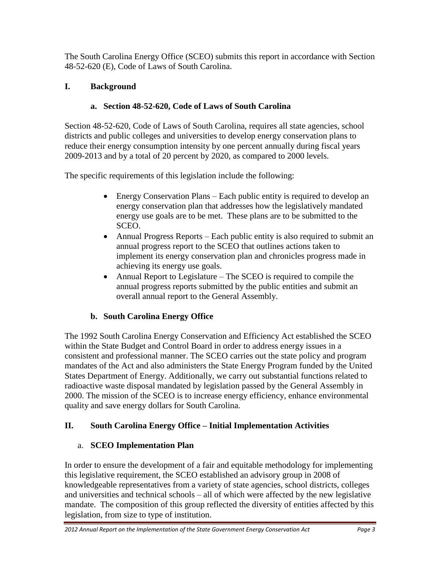The South Carolina Energy Office (SCEO) submits this report in accordance with Section 48-52-620 (E), Code of Laws of South Carolina.

# **I. Background**

# **a. Section 48-52-620, Code of Laws of South Carolina**

Section 48-52-620, Code of Laws of South Carolina, requires all state agencies, school districts and public colleges and universities to develop energy conservation plans to reduce their energy consumption intensity by one percent annually during fiscal years 2009-2013 and by a total of 20 percent by 2020, as compared to 2000 levels.

The specific requirements of this legislation include the following:

- Energy Conservation Plans Each public entity is required to develop an energy conservation plan that addresses how the legislatively mandated energy use goals are to be met. These plans are to be submitted to the SCEO.
- Annual Progress Reports Each public entity is also required to submit an annual progress report to the SCEO that outlines actions taken to implement its energy conservation plan and chronicles progress made in achieving its energy use goals.
- Annual Report to Legislature The SCEO is required to compile the annual progress reports submitted by the public entities and submit an overall annual report to the General Assembly.

# **b. South Carolina Energy Office**

The 1992 South Carolina Energy Conservation and Efficiency Act established the SCEO within the State Budget and Control Board in order to address energy issues in a consistent and professional manner. The SCEO carries out the state policy and program mandates of the Act and also administers the State Energy Program funded by the United States Department of Energy. Additionally, we carry out substantial functions related to radioactive waste disposal mandated by legislation passed by the General Assembly in 2000. The mission of the SCEO is to increase energy efficiency, enhance environmental quality and save energy dollars for South Carolina.

# **II. South Carolina Energy Office – Initial Implementation Activities**

# a. **SCEO Implementation Plan**

In order to ensure the development of a fair and equitable methodology for implementing this legislative requirement, the SCEO established an advisory group in 2008 of knowledgeable representatives from a variety of state agencies, school districts, colleges and universities and technical schools – all of which were affected by the new legislative mandate. The composition of this group reflected the diversity of entities affected by this legislation, from size to type of institution.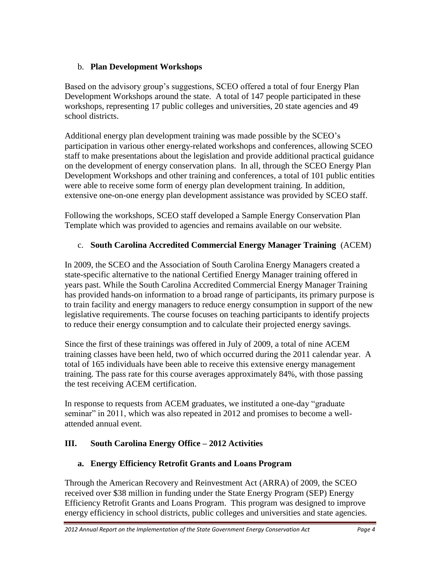## b. **Plan Development Workshops**

Based on the advisory group's suggestions, SCEO offered a total of four Energy Plan Development Workshops around the state. A total of 147 people participated in these workshops, representing 17 public colleges and universities, 20 state agencies and 49 school districts.

Additional energy plan development training was made possible by the SCEO's participation in various other energy-related workshops and conferences, allowing SCEO staff to make presentations about the legislation and provide additional practical guidance on the development of energy conservation plans. In all, through the SCEO Energy Plan Development Workshops and other training and conferences*,* a total of 101 public entities were able to receive some form of energy plan development training. In addition, extensive one-on-one energy plan development assistance was provided by SCEO staff.

Following the workshops, SCEO staff developed a Sample Energy Conservation Plan Template which was provided to agencies and remains available on our website.

## c. **South Carolina Accredited Commercial Energy Manager Training** (ACEM)

In 2009, the SCEO and the Association of South Carolina Energy Managers created a state-specific alternative to the national Certified Energy Manager training offered in years past. While the South Carolina Accredited Commercial Energy Manager Training has provided hands-on information to a broad range of participants, its primary purpose is to train facility and energy managers to reduce energy consumption in support of the new legislative requirements. The course focuses on teaching participants to identify projects to reduce their energy consumption and to calculate their projected energy savings.

Since the first of these trainings was offered in July of 2009, a total of nine ACEM training classes have been held, two of which occurred during the 2011 calendar year. A total of 165 individuals have been able to receive this extensive energy management training. The pass rate for this course averages approximately 84%, with those passing the test receiving ACEM certification.

In response to requests from ACEM graduates, we instituted a one-day "graduate seminar" in 2011, which was also repeated in 2012 and promises to become a wellattended annual event.

# **III. South Carolina Energy Office – 2012 Activities**

## **a. Energy Efficiency Retrofit Grants and Loans Program**

Through the American Recovery and Reinvestment Act (ARRA) of 2009, the SCEO received over \$38 million in funding under the State Energy Program (SEP) Energy Efficiency Retrofit Grants and Loans Program. This program was designed to improve energy efficiency in school districts, public colleges and universities and state agencies.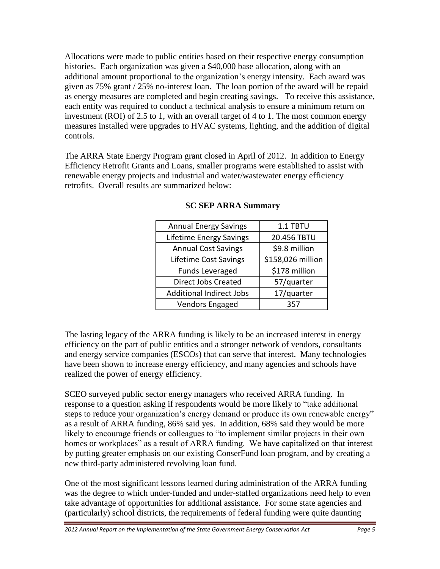Allocations were made to public entities based on their respective energy consumption histories. Each organization was given a \$40,000 base allocation, along with an additional amount proportional to the organization's energy intensity. Each award was given as 75% grant / 25% no-interest loan. The loan portion of the award will be repaid as energy measures are completed and begin creating savings. To receive this assistance, each entity was required to conduct a technical analysis to ensure a minimum return on investment (ROI) of 2.5 to 1, with an overall target of 4 to 1. The most common energy measures installed were upgrades to HVAC systems, lighting, and the addition of digital controls.

The ARRA State Energy Program grant closed in April of 2012. In addition to Energy Efficiency Retrofit Grants and Loans, smaller programs were established to assist with renewable energy projects and industrial and water/wastewater energy efficiency retrofits. Overall results are summarized below:

| <b>Annual Energy Savings</b>    | 1.1 TBTU          |
|---------------------------------|-------------------|
| <b>Lifetime Energy Savings</b>  | 20.456 TBTU       |
| <b>Annual Cost Savings</b>      | \$9.8 million     |
| Lifetime Cost Savings           | \$158,026 million |
| <b>Funds Leveraged</b>          | \$178 million     |
| Direct Jobs Created             | 57/quarter        |
| <b>Additional Indirect Jobs</b> | 17/quarter        |
| Vendors Engaged                 | 357               |

#### **SC SEP ARRA Summary**

The lasting legacy of the ARRA funding is likely to be an increased interest in energy efficiency on the part of public entities and a stronger network of vendors, consultants and energy service companies (ESCOs) that can serve that interest. Many technologies have been shown to increase energy efficiency, and many agencies and schools have realized the power of energy efficiency.

SCEO surveyed public sector energy managers who received ARRA funding. In response to a question asking if respondents would be more likely to "take additional steps to reduce your organization's energy demand or produce its own renewable energy" as a result of ARRA funding, 86% said yes. In addition, 68% said they would be more likely to encourage friends or colleagues to "to implement similar projects in their own homes or workplaces" as a result of ARRA funding. We have capitalized on that interest by putting greater emphasis on our existing ConserFund loan program, and by creating a new third-party administered revolving loan fund.

One of the most significant lessons learned during administration of the ARRA funding was the degree to which under-funded and under-staffed organizations need help to even take advantage of opportunities for additional assistance. For some state agencies and (particularly) school districts, the requirements of federal funding were quite daunting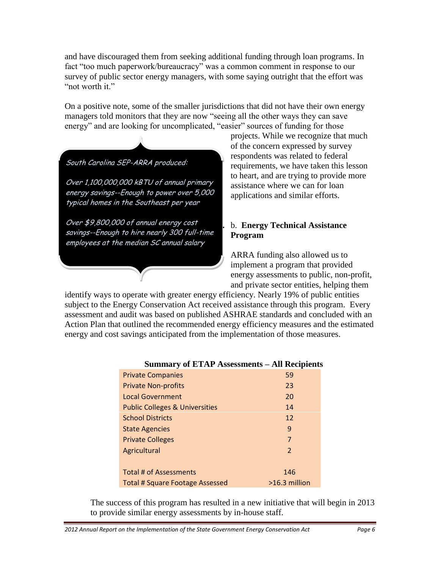and have discouraged them from seeking additional funding through loan programs. In fact "too much paperwork/bureaucracy" was a common comment in response to our survey of public sector energy managers, with some saying outright that the effort was "not worth it."

On a positive note, some of the smaller jurisdictions that did not have their own energy managers told monitors that they are now "seeing all the other ways they can save energy" and are looking for uncomplicated, "easier" sources of funding for those

South Carolina SEP-ARRA produced:

Over 1,100,000,000 kBTU of annual primary energy savings--Enough to power over 5,000 typical homes in the Southeast per year

Over \$9,800,000 of annual energy cost savings--Enough to hire nearly 300 full-time employees at the median SC annual salary

projects. While we recognize that much of the concern expressed by survey respondents was related to federal requirements, we have taken this lesson to heart, and are trying to provide more assistance where we can for loan applications and similar efforts.

## **b.** b. **Energy Technical Assistance Program**

ARRA funding also allowed us to implement a program that provided energy assessments to public, non-profit, and private sector entities, helping them

identify ways to operate with greater energy efficiency. Nearly 19% of public entities subject to the Energy Conservation Act received assistance through this program. Every assessment and audit was based on published ASHRAE standards and concluded with an Action Plan that outlined the recommended energy efficiency measures and the estimated energy and cost savings anticipated from the implementation of those measures.

| <b>Private Companies</b>                  | 59            |
|-------------------------------------------|---------------|
| <b>Private Non-profits</b>                | 23            |
| <b>Local Government</b>                   | 20            |
| <b>Public Colleges &amp; Universities</b> | 14            |
| <b>School Districts</b>                   | 12            |
| <b>State Agencies</b>                     | 9             |
| <b>Private Colleges</b>                   | 7             |
| Agricultural                              | 2             |
|                                           |               |
| Total # of Assessments                    | 146           |
| <b>Total # Square Footage Assessed</b>    | >16.3 million |

## **Summary of ETAP Assessments – All Recipients**

The success of this program has resulted in a new initiative that will begin in 2013 to provide similar energy assessments by in-house staff.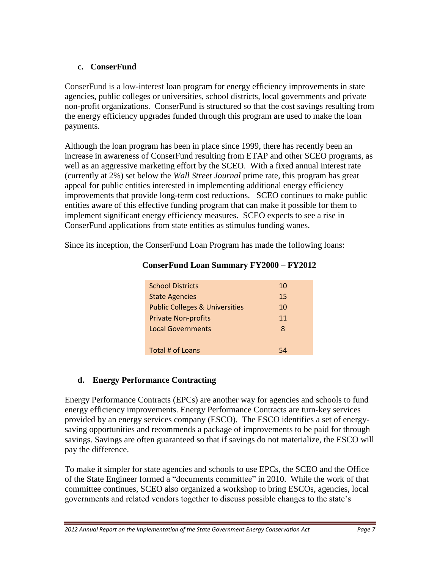## **c. ConserFund**

ConserFund is a low-interest loan program for energy efficiency improvements in state agencies, public colleges or universities, school districts, local governments and private non-profit organizations. ConserFund is structured so that the cost savings resulting from the energy efficiency upgrades funded through this program are used to make the loan payments.

Although the loan program has been in place since 1999, there has recently been an increase in awareness of ConserFund resulting from ETAP and other SCEO programs, as well as an aggressive marketing effort by the SCEO. With a fixed annual interest rate (currently at 2%) set below the *Wall Street Journal* prime rate, this program has great appeal for public entities interested in implementing additional energy efficiency improvements that provide long-term cost reductions. SCEO continues to make public entities aware of this effective funding program that can make it possible for them to implement significant energy efficiency measures. SCEO expects to see a rise in ConserFund applications from state entities as stimulus funding wanes.

Since its inception, the ConserFund Loan Program has made the following loans:

| <b>School Districts</b>                   | 10 |
|-------------------------------------------|----|
| <b>State Agencies</b>                     | 15 |
| <b>Public Colleges &amp; Universities</b> | 10 |
| <b>Private Non-profits</b>                | 11 |
| <b>Local Governments</b>                  | 8  |
|                                           |    |
| Total # of Loans                          | 57 |

## **ConserFund Loan Summary FY2000 – FY2012**

## **d. Energy Performance Contracting**

Energy Performance Contracts (EPCs) are another way for agencies and schools to fund energy efficiency improvements. Energy Performance Contracts are turn-key services provided by an energy services company (ESCO). The ESCO identifies a set of energysaving opportunities and recommends a package of improvements to be paid for through savings. Savings are often guaranteed so that if savings do not materialize, the ESCO will pay the difference.

To make it simpler for state agencies and schools to use EPCs, the SCEO and the Office of the State Engineer formed a "documents committee" in 2010. While the work of that committee continues, SCEO also organized a workshop to bring ESCOs, agencies, local governments and related vendors together to discuss possible changes to the state's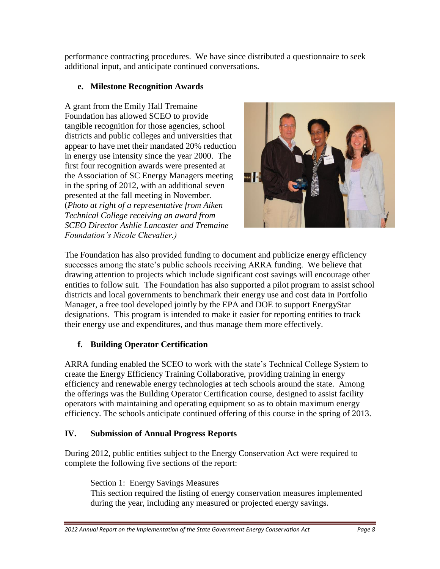performance contracting procedures. We have since distributed a questionnaire to seek additional input, and anticipate continued conversations.

# **e. Milestone Recognition Awards**

A grant from the Emily Hall Tremaine Foundation has allowed SCEO to provide tangible recognition for those agencies, school districts and public colleges and universities that appear to have met their mandated 20% reduction in energy use intensity since the year 2000. The first four recognition awards were presented at the Association of SC Energy Managers meeting in the spring of 2012, with an additional seven presented at the fall meeting in November. (*Photo at right of a representative from Aiken Technical College receiving an award from SCEO Director Ashlie Lancaster and Tremaine Foundation's Nicole Chevalier.)*



The Foundation has also provided funding to document and publicize energy efficiency successes among the state's public schools receiving ARRA funding. We believe that drawing attention to projects which include significant cost savings will encourage other entities to follow suit. The Foundation has also supported a pilot program to assist school districts and local governments to benchmark their energy use and cost data in Portfolio Manager, a free tool developed jointly by the EPA and DOE to support EnergyStar designations. This program is intended to make it easier for reporting entities to track their energy use and expenditures, and thus manage them more effectively.

# **f. Building Operator Certification**

ARRA funding enabled the SCEO to work with the state's Technical College System to create the Energy Efficiency Training Collaborative, providing training in energy efficiency and renewable energy technologies at tech schools around the state. Among the offerings was the Building Operator Certification course, designed to assist facility operators with maintaining and operating equipment so as to obtain maximum energy efficiency. The schools anticipate continued offering of this course in the spring of 2013.

# **IV. Submission of Annual Progress Reports**

During 2012, public entities subject to the Energy Conservation Act were required to complete the following five sections of the report:

Section 1: Energy Savings Measures This section required the listing of energy conservation measures implemented during the year, including any measured or projected energy savings.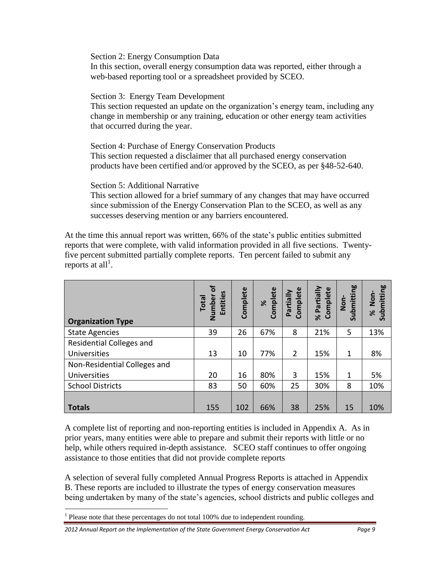Section 2: Energy Consumption Data In this section, overall energy consumption data was reported, either through a web-based reporting tool or a spreadsheet provided by SCEO.

Section 3: Energy Team Development

This section requested an update on the organization's energy team, including any change in membership or any training, education or other energy team activities that occurred during the year.

Section 4: Purchase of Energy Conservation Products This section requested a disclaimer that all purchased energy conservation products have been certified and/or approved by the SCEO, as per §48-52-640.

Section 5: Additional Narrative

This section allowed for a brief summary of any changes that may have occurred since submission of the Energy Conservation Plan to the SCEO, as well as any successes deserving mention or any barriers encountered.

At the time this annual report was written, 66% of the state's public entities submitted reports that were complete, with valid information provided in all five sections. Twentyfive percent submitted partially complete reports. Ten percent failed to submit any reports at all<sup>1</sup>.

| S<br>Entitie<br><b>Total</b><br>Numbe | Complete | Complete<br>ৼ | Complete<br>Partially | Partially<br>Complete<br>৯ৎ | Submitting<br>Non- | mitting<br>Non-<br><b>Gub</b><br>৯ৎ |
|---------------------------------------|----------|---------------|-----------------------|-----------------------------|--------------------|-------------------------------------|
| 39                                    | 26       | 67%           | 8                     | 21%                         | 5                  | 13%                                 |
|                                       |          |               |                       |                             |                    |                                     |
| 13                                    | 10       | 77%           | $\overline{2}$        | 15%                         | 1                  | 8%                                  |
|                                       |          |               |                       |                             |                    |                                     |
| 20                                    | 16       | 80%           | 3                     | 15%                         | 1                  | 5%                                  |
| 83                                    | 50       | 60%           | 25                    | 30%                         | 8                  | 10%                                 |
|                                       |          |               |                       |                             |                    | 10%                                 |
|                                       | 155      | 102           | 66%                   | 38                          | 25%                | 15                                  |

A complete list of reporting and non-reporting entities is included in Appendix A. As in prior years, many entities were able to prepare and submit their reports with little or no help, while others required in-depth assistance. SCEO staff continues to offer ongoing assistance to those entities that did not provide complete reports

A selection of several fully completed Annual Progress Reports is attached in Appendix B. These reports are included to illustrate the types of energy conservation measures being undertaken by many of the state's agencies, school districts and public colleges and

 $\overline{a}$ 

*2012 Annual Report on the Implementation of the State Government Energy Conservation Act Page 9*

 $<sup>1</sup>$  Please note that these percentages do not total 100% due to independent rounding.</sup>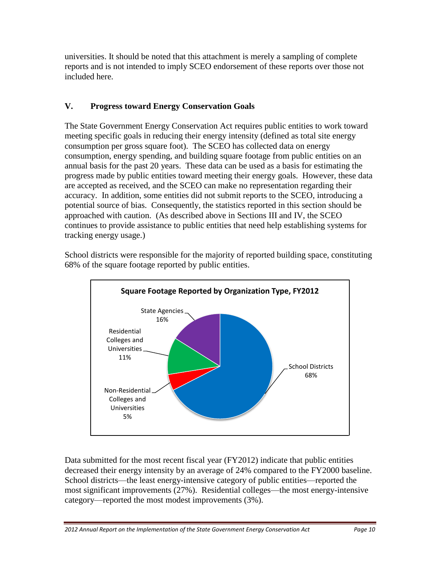universities. It should be noted that this attachment is merely a sampling of complete reports and is not intended to imply SCEO endorsement of these reports over those not included here.

# **V. Progress toward Energy Conservation Goals**

The State Government Energy Conservation Act requires public entities to work toward meeting specific goals in reducing their energy intensity (defined as total site energy consumption per gross square foot). The SCEO has collected data on energy consumption, energy spending, and building square footage from public entities on an annual basis for the past 20 years. These data can be used as a basis for estimating the progress made by public entities toward meeting their energy goals. However, these data are accepted as received, and the SCEO can make no representation regarding their accuracy. In addition, some entities did not submit reports to the SCEO, introducing a potential source of bias. Consequently, the statistics reported in this section should be approached with caution. (As described above in Sections III and IV, the SCEO continues to provide assistance to public entities that need help establishing systems for tracking energy usage.)



School districts were responsible for the majority of reported building space, constituting 68% of the square footage reported by public entities.

Data submitted for the most recent fiscal year (FY2012) indicate that public entities decreased their energy intensity by an average of 24% compared to the FY2000 baseline. School districts—the least energy-intensive category of public entities—reported the most significant improvements (27%). Residential colleges—the most energy-intensive category—reported the most modest improvements (3%).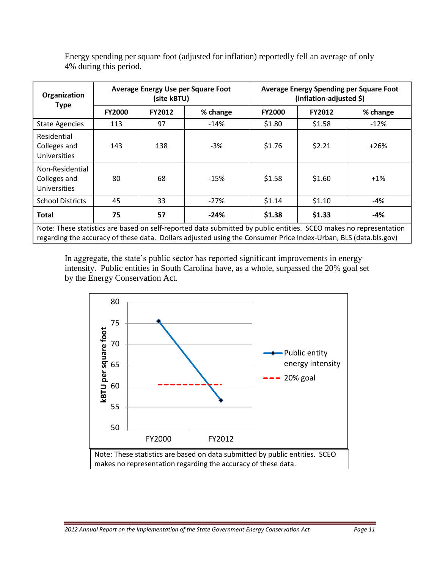| Organization                                                                                                                                                                                                                         | Average Energy Use per Square Foot<br>(site kBTU) |               |          | <b>Average Energy Spending per Square Foot</b><br>(inflation-adjusted \$) |                           |        |  |
|--------------------------------------------------------------------------------------------------------------------------------------------------------------------------------------------------------------------------------------|---------------------------------------------------|---------------|----------|---------------------------------------------------------------------------|---------------------------|--------|--|
| <b>Type</b>                                                                                                                                                                                                                          | <b>FY2000</b>                                     | <b>FY2012</b> | % change | <b>FY2000</b>                                                             | <b>FY2012</b><br>% change |        |  |
| <b>State Agencies</b>                                                                                                                                                                                                                | 113                                               | 97            | $-14%$   | \$1.80                                                                    | \$1.58<br>$-12%$          |        |  |
| Residential<br>Colleges and<br><b>Universities</b>                                                                                                                                                                                   | 143                                               | 138           | -3%      | \$1.76                                                                    | \$2.21                    | $+26%$ |  |
| Non-Residential<br>Colleges and<br><b>Universities</b>                                                                                                                                                                               | 80                                                | 68            | $-15%$   | \$1.58                                                                    | \$1.60                    | $+1%$  |  |
| <b>School Districts</b>                                                                                                                                                                                                              | 45                                                | 33            | $-27%$   | \$1.14                                                                    | \$1.10                    | -4%    |  |
| <b>Total</b>                                                                                                                                                                                                                         | 75                                                | 57            | $-24%$   | \$1.38                                                                    | \$1.33                    | -4%    |  |
| Note: These statistics are based on self-reported data submitted by public entities. SCEO makes no representation<br>regarding the accuracy of these data. Dollars adjusted using the Consumer Price Index-Urban, BLS (data.bls.gov) |                                                   |               |          |                                                                           |                           |        |  |

Energy spending per square foot (adjusted for inflation) reportedly fell an average of only 4% during this period.

In aggregate, the state's public sector has reported significant improvements in energy intensity. Public entities in South Carolina have, as a whole, surpassed the 20% goal set by the Energy Conservation Act.

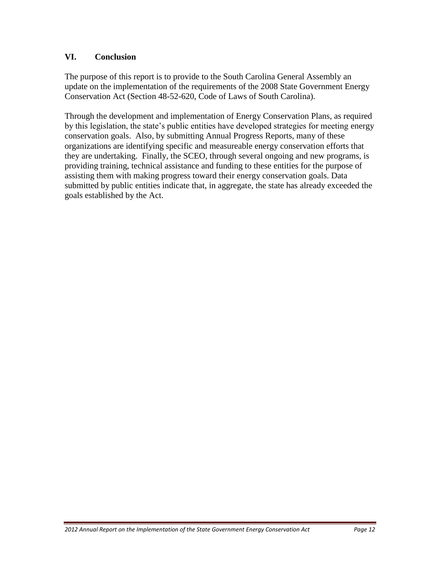## **VI. Conclusion**

The purpose of this report is to provide to the South Carolina General Assembly an update on the implementation of the requirements of the 2008 State Government Energy Conservation Act (Section 48-52-620, Code of Laws of South Carolina).

Through the development and implementation of Energy Conservation Plans, as required by this legislation, the state's public entities have developed strategies for meeting energy conservation goals. Also, by submitting Annual Progress Reports, many of these organizations are identifying specific and measureable energy conservation efforts that they are undertaking. Finally, the SCEO, through several ongoing and new programs, is providing training, technical assistance and funding to these entities for the purpose of assisting them with making progress toward their energy conservation goals. Data submitted by public entities indicate that, in aggregate, the state has already exceeded the goals established by the Act.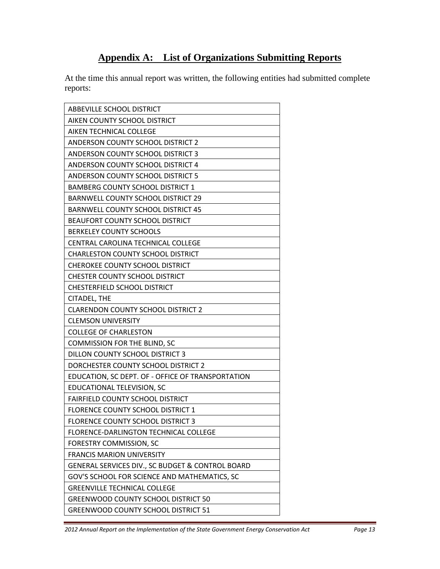# **Appendix A: List of Organizations Submitting Reports**

At the time this annual report was written, the following entities had submitted complete reports:

| ABBEVILLE SCHOOL DISTRICT                         |
|---------------------------------------------------|
| AIKEN COUNTY SCHOOL DISTRICT                      |
| AIKEN TECHNICAL COLLEGE                           |
| <b>ANDERSON COUNTY SCHOOL DISTRICT 2</b>          |
| ANDERSON COUNTY SCHOOL DISTRICT 3                 |
| <b>ANDERSON COUNTY SCHOOL DISTRICT 4</b>          |
| <b>ANDERSON COUNTY SCHOOL DISTRICT 5</b>          |
| <b>BAMBERG COUNTY SCHOOL DISTRICT 1</b>           |
| <b>BARNWELL COUNTY SCHOOL DISTRICT 29</b>         |
| <b>BARNWELL COUNTY SCHOOL DISTRICT 45</b>         |
| <b>BEAUFORT COUNTY SCHOOL DISTRICT</b>            |
| <b>BERKELEY COUNTY SCHOOLS</b>                    |
| CENTRAL CAROLINA TECHNICAL COLLEGE                |
| <b>CHARLESTON COUNTY SCHOOL DISTRICT</b>          |
| <b>CHEROKEE COUNTY SCHOOL DISTRICT</b>            |
| <b>CHESTER COUNTY SCHOOL DISTRICT</b>             |
| <b>CHESTERFIELD SCHOOL DISTRICT</b>               |
| <b>CITADEL, THE</b>                               |
| <b>CLARENDON COUNTY SCHOOL DISTRICT 2</b>         |
| <b>CLEMSON UNIVERSITY</b>                         |
| <b>COLLEGE OF CHARLESTON</b>                      |
| <b>COMMISSION FOR THE BLIND, SC</b>               |
| DILLON COUNTY SCHOOL DISTRICT 3                   |
| DORCHESTER COUNTY SCHOOL DISTRICT 2               |
| EDUCATION, SC DEPT. OF - OFFICE OF TRANSPORTATION |
| EDUCATIONAL TELEVISION, SC                        |
| FAIRFIELD COUNTY SCHOOL DISTRICT                  |
| FLORENCE COUNTY SCHOOL DISTRICT 1                 |
| <b>FLORENCE COUNTY SCHOOL DISTRICT 3</b>          |
| FLORENCE-DARLINGTON TECHNICAL COLLEGE             |
| FORESTRY COMMISSION, SC                           |
| <b>FRANCIS MARION UNIVERSITY</b>                  |
| GENERAL SERVICES DIV., SC BUDGET & CONTROL BOARD  |
| GOV'S SCHOOL FOR SCIENCE AND MATHEMATICS, SC      |
| <b>GREENVILLE TECHNICAL COLLEGE</b>               |
| <b>GREENWOOD COUNTY SCHOOL DISTRICT 50</b>        |
| <b>GREENWOOD COUNTY SCHOOL DISTRICT 51</b>        |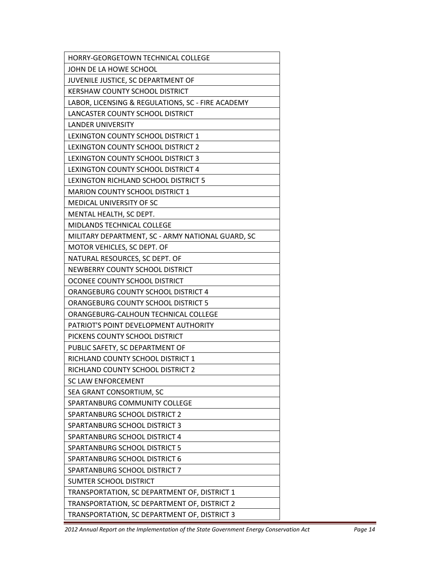| HORRY-GEORGETOWN TECHNICAL COLLEGE                |
|---------------------------------------------------|
| JOHN DE LA HOWE SCHOOL                            |
| JUVENILE JUSTICE, SC DEPARTMENT OF                |
| KERSHAW COUNTY SCHOOL DISTRICT                    |
| LABOR, LICENSING & REGULATIONS, SC - FIRE ACADEMY |
| LANCASTER COUNTY SCHOOL DISTRICT                  |
| <b>LANDER UNIVERSITY</b>                          |
| LEXINGTON COUNTY SCHOOL DISTRICT 1                |
| LEXINGTON COUNTY SCHOOL DISTRICT 2                |
| LEXINGTON COUNTY SCHOOL DISTRICT 3                |
| LEXINGTON COUNTY SCHOOL DISTRICT 4                |
| LEXINGTON RICHLAND SCHOOL DISTRICT 5              |
| <b>MARION COUNTY SCHOOL DISTRICT 1</b>            |
| <b>MEDICAL UNIVERSITY OF SC</b>                   |
| MENTAL HEALTH, SC DEPT.                           |
| <b>MIDLANDS TECHNICAL COLLEGE</b>                 |
| MILITARY DEPARTMENT, SC - ARMY NATIONAL GUARD, SC |
| MOTOR VEHICLES, SC DEPT. OF                       |
| NATURAL RESOURCES, SC DEPT. OF                    |
| NEWBERRY COUNTY SCHOOL DISTRICT                   |
| OCONEE COUNTY SCHOOL DISTRICT                     |
| ORANGEBURG COUNTY SCHOOL DISTRICT 4               |
| <b>ORANGEBURG COUNTY SCHOOL DISTRICT 5</b>        |
| ORANGEBURG-CALHOUN TECHNICAL COLLEGE              |
| PATRIOT'S POINT DEVELOPMENT AUTHORITY             |
| PICKENS COUNTY SCHOOL DISTRICT                    |
| PUBLIC SAFETY, SC DEPARTMENT OF                   |
| RICHLAND COUNTY SCHOOL DISTRICT 1                 |
| RICHLAND COUNTY SCHOOL DISTRICT 2                 |
| SC LAW ENFORCEMENT                                |
| SEA GRANT CONSORTIUM, SC                          |
| SPARTANBURG COMMUNITY COLLEGE                     |
| SPARTANBURG SCHOOL DISTRICT 2                     |
| SPARTANBURG SCHOOL DISTRICT 3                     |
| SPARTANBURG SCHOOL DISTRICT 4                     |
| SPARTANBURG SCHOOL DISTRICT 5                     |
| SPARTANBURG SCHOOL DISTRICT 6                     |
| SPARTANBURG SCHOOL DISTRICT 7                     |
| <b>SUMTER SCHOOL DISTRICT</b>                     |
| TRANSPORTATION, SC DEPARTMENT OF, DISTRICT 1      |
| TRANSPORTATION, SC DEPARTMENT OF, DISTRICT 2      |
| TRANSPORTATION, SC DEPARTMENT OF, DISTRICT 3      |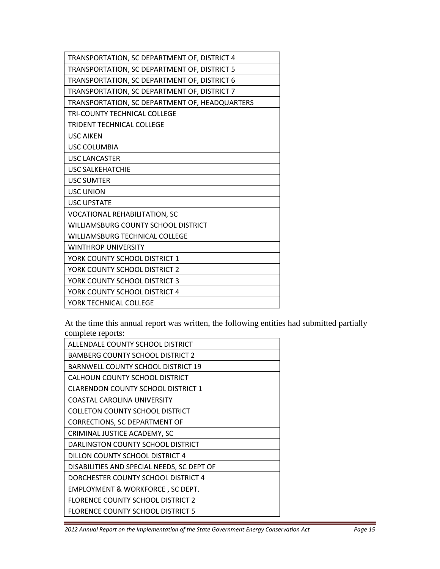| TRANSPORTATION, SC DEPARTMENT OF, DISTRICT 4   |
|------------------------------------------------|
| TRANSPORTATION, SC DEPARTMENT OF, DISTRICT 5   |
| TRANSPORTATION, SC DEPARTMENT OF, DISTRICT 6   |
| TRANSPORTATION, SC DEPARTMENT OF, DISTRICT 7   |
| TRANSPORTATION, SC DEPARTMENT OF, HEADQUARTERS |
| <b>TRI-COUNTY TECHNICAL COLLEGE</b>            |
| <b>TRIDENT TECHNICAL COLLEGE</b>               |
| <b>USC AIKEN</b>                               |
| <b>USC COLUMBIA</b>                            |
| <b>USC LANCASTER</b>                           |
| <b>USC SALKEHATCHIE</b>                        |
| <b>USC SUMTER</b>                              |
| <b>USC UNION</b>                               |
| <b>USC UPSTATE</b>                             |
| <b>VOCATIONAL REHABILITATION, SC</b>           |
| <b>WILLIAMSBURG COUNTY SCHOOL DISTRICT</b>     |
| <b>WILLIAMSBURG TECHNICAL COLLEGE</b>          |
| <b>WINTHROP UNIVERSITY</b>                     |
| YORK COUNTY SCHOOL DISTRICT 1                  |
| YORK COUNTY SCHOOL DISTRICT 2                  |
| YORK COUNTY SCHOOL DISTRICT 3                  |
| YORK COUNTY SCHOOL DISTRICT 4                  |
| YORK TECHNICAL COLLEGE                         |

At the time this annual report was written, the following entities had submitted partially complete reports:

| ALLENDALE COUNTY SCHOOL DISTRICT           |
|--------------------------------------------|
| <b>BAMBERG COUNTY SCHOOL DISTRICT 2</b>    |
| <b>BARNWELL COUNTY SCHOOL DISTRICT 19</b>  |
| CALHOUN COUNTY SCHOOL DISTRICT             |
| <b>CLARENDON COUNTY SCHOOL DISTRICT 1</b>  |
| <b>COASTAL CAROLINA UNIVERSITY</b>         |
| <b>COLLETON COUNTY SCHOOL DISTRICT</b>     |
| <b>CORRECTIONS, SC DEPARTMENT OF</b>       |
| CRIMINAL JUSTICE ACADEMY, SC               |
| DARLINGTON COUNTY SCHOOL DISTRICT          |
| DILLON COUNTY SCHOOL DISTRICT 4            |
| DISABILITIES AND SPECIAL NEEDS, SC DEPT OF |
| DORCHESTER COUNTY SCHOOL DISTRICT 4        |
| EMPLOYMENT & WORKFORCE, SC DEPT.           |
| <b>FLORENCE COUNTY SCHOOL DISTRICT 2</b>   |
| <b>FLORENCE COUNTY SCHOOL DISTRICT 5</b>   |